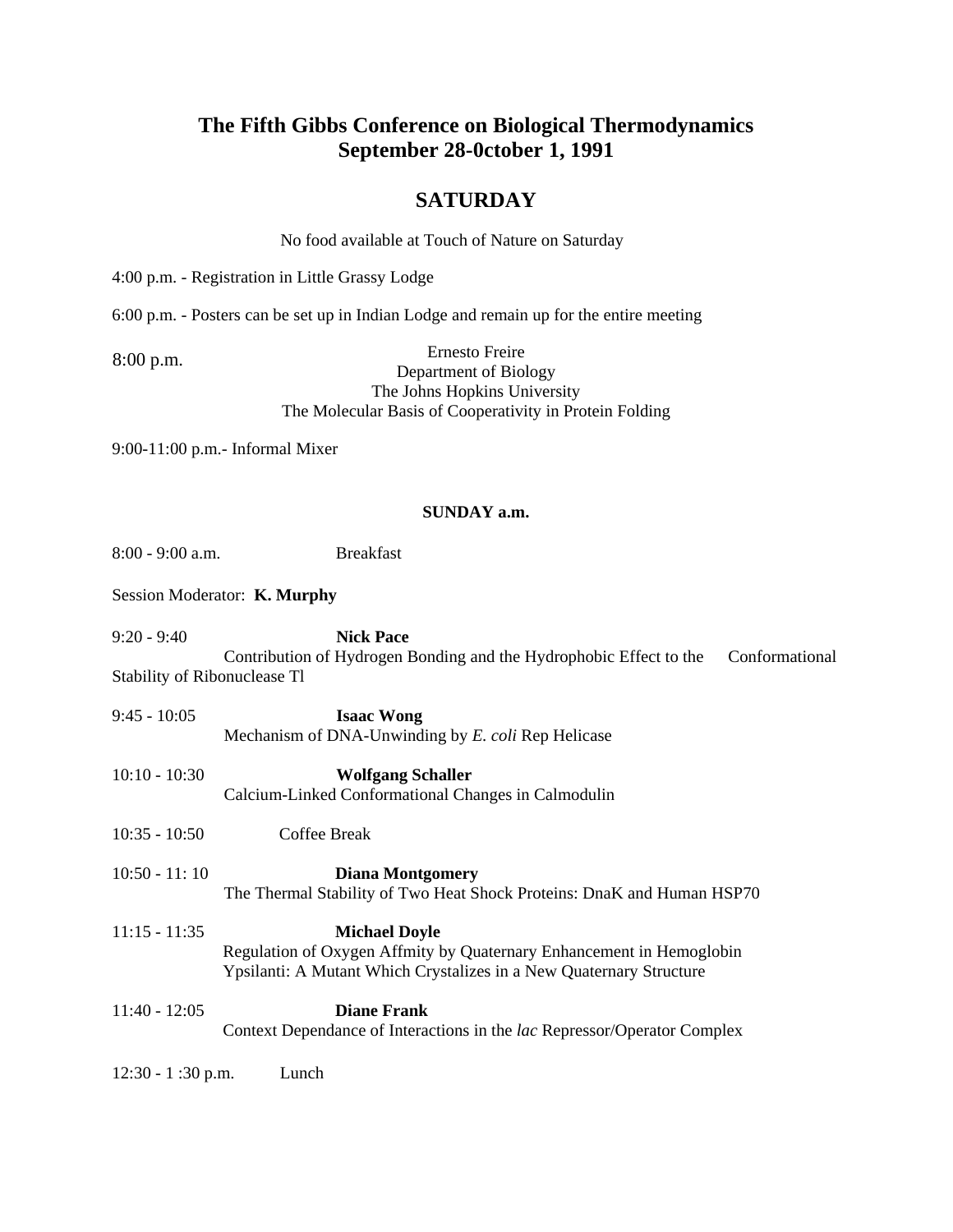### **The Fifth Gibbs Conference on Biological Thermodynamics September 28-0ctober 1, 1991**

### **SATURDAY**

No food available at Touch of Nature on Saturday

4:00 p.m. - Registration in Little Grassy Lodge

6:00 p.m. - Posters can be set up in Indian Lodge and remain up for the entire meeting

8:00 p.m.

Ernesto Freire

Department of Biology The Johns Hopkins University The Molecular Basis of Cooperativity in Protein Folding

9:00-11:00 p.m.- Informal Mixer

#### **SUNDAY a.m.**

| $8:00 - 9:00$ a.m.                            | <b>Breakfast</b>                                                                                                                                                    |  |  |  |
|-----------------------------------------------|---------------------------------------------------------------------------------------------------------------------------------------------------------------------|--|--|--|
| Session Moderator: K. Murphy                  |                                                                                                                                                                     |  |  |  |
| $9:20 - 9:40$<br>Stability of Ribonuclease Tl | <b>Nick Pace</b><br>Contribution of Hydrogen Bonding and the Hydrophobic Effect to the<br>Conformational                                                            |  |  |  |
| $9:45 - 10:05$                                | <b>Isaac Wong</b><br>Mechanism of DNA-Unwinding by E. coli Rep Helicase                                                                                             |  |  |  |
| $10:10 - 10:30$                               | <b>Wolfgang Schaller</b><br>Calcium-Linked Conformational Changes in Calmodulin                                                                                     |  |  |  |
| $10:35 - 10:50$                               | Coffee Break                                                                                                                                                        |  |  |  |
| $10:50 - 11:10$                               | <b>Diana Montgomery</b><br>The Thermal Stability of Two Heat Shock Proteins: DnaK and Human HSP70                                                                   |  |  |  |
| $11:15 - 11:35$                               | <b>Michael Doyle</b><br>Regulation of Oxygen Affmity by Quaternary Enhancement in Hemoglobin<br>Ypsilanti: A Mutant Which Crystalizes in a New Quaternary Structure |  |  |  |
| $11:40 - 12:05$                               | <b>Diane Frank</b><br>Context Dependance of Interactions in the lac Repressor/Operator Complex                                                                      |  |  |  |
| $12:30 - 1:30$ p.m.                           | Lunch                                                                                                                                                               |  |  |  |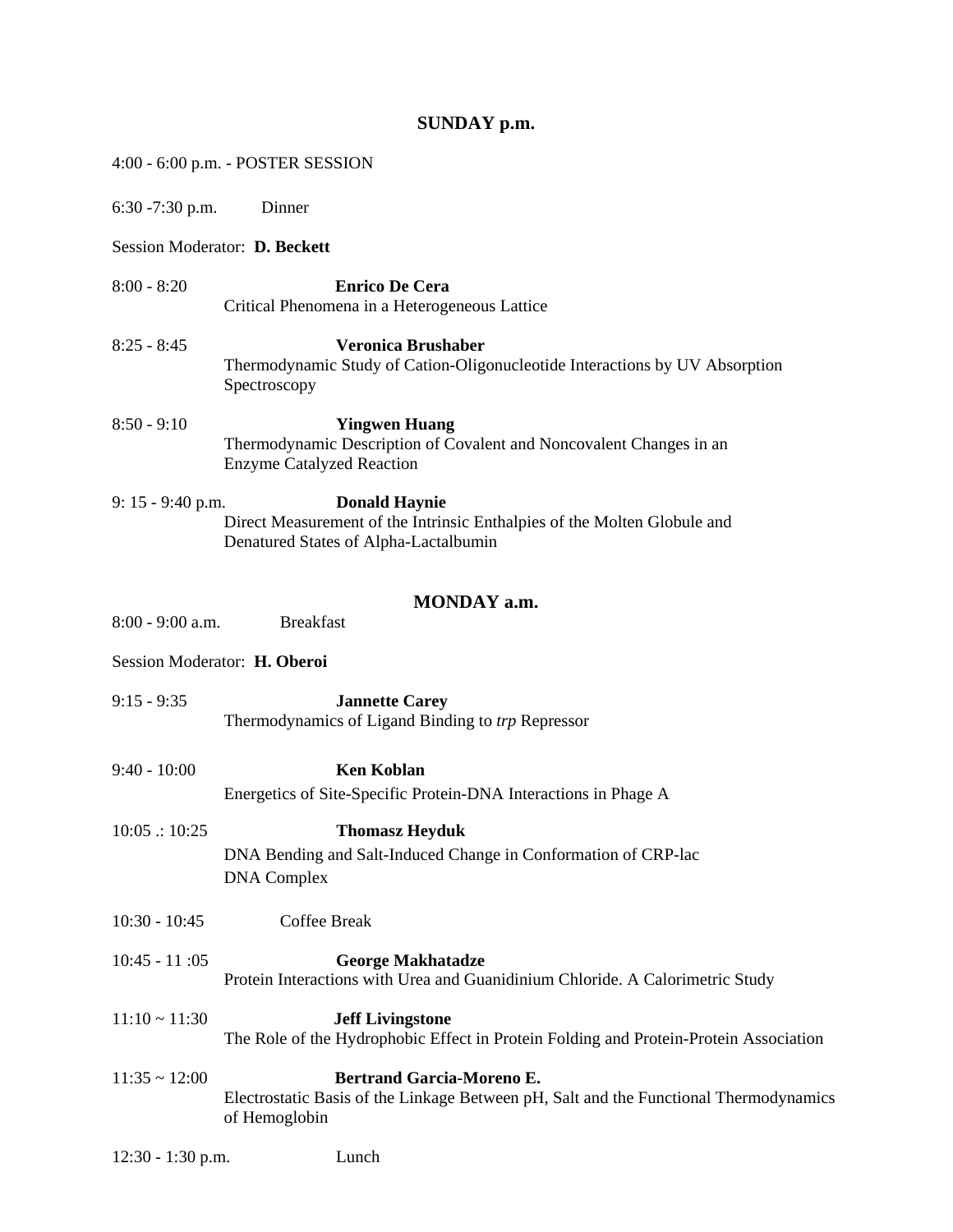# **SUNDAY p.m.**

|                               |                              | 4:00 - 6:00 p.m. - POSTER SESSION                                                                                                         |  |
|-------------------------------|------------------------------|-------------------------------------------------------------------------------------------------------------------------------------------|--|
|                               | $6:30 - 7:30$ p.m.           | Dinner                                                                                                                                    |  |
| Session Moderator: D. Beckett |                              |                                                                                                                                           |  |
|                               | $8:00 - 8:20$                | <b>Enrico De Cera</b><br>Critical Phenomena in a Heterogeneous Lattice                                                                    |  |
|                               | $8:25 - 8:45$                | <b>Veronica Brushaber</b><br>Thermodynamic Study of Cation-Oligonucleotide Interactions by UV Absorption<br>Spectroscopy                  |  |
|                               | $8:50 - 9:10$                | <b>Yingwen Huang</b><br>Thermodynamic Description of Covalent and Noncovalent Changes in an<br><b>Enzyme Catalyzed Reaction</b>           |  |
|                               | $9: 15 - 9:40$ p.m.          | <b>Donald Haynie</b><br>Direct Measurement of the Intrinsic Enthalpies of the Molten Globule and<br>Denatured States of Alpha-Lactalbumin |  |
|                               |                              | MONDAY a.m.                                                                                                                               |  |
|                               | $8:00 - 9:00$ a.m.           | <b>Breakfast</b>                                                                                                                          |  |
|                               | Session Moderator: H. Oberoi |                                                                                                                                           |  |
|                               | $9:15 - 9:35$                | <b>Jannette Carey</b><br>Thermodynamics of Ligand Binding to trp Repressor                                                                |  |
|                               | $9:40 - 10:00$               | <b>Ken Koblan</b><br>Energetics of Site-Specific Protein-DNA Interactions in Phage A                                                      |  |
|                               | 10:05::10:25                 | <b>Thomasz Heyduk</b><br>DNA Bending and Salt-Induced Change in Conformation of CRP-lac<br><b>DNA</b> Complex                             |  |
|                               | $10:30 - 10:45$              | <b>Coffee Break</b>                                                                                                                       |  |
|                               | $10:45 - 11:05$              | <b>George Makhatadze</b><br>Protein Interactions with Urea and Guanidinium Chloride. A Calorimetric Study                                 |  |
|                               | $11:10 \sim 11:30$           | <b>Jeff Livingstone</b><br>The Role of the Hydrophobic Effect in Protein Folding and Protein-Protein Association                          |  |
|                               | $11:35 \sim 12:00$           | Bertrand Garcia-Moreno E.<br>Electrostatic Basis of the Linkage Between pH, Salt and the Functional Thermodynamics<br>of Hemoglobin       |  |
|                               | $12:30 - 1:30$ p.m.          | Lunch                                                                                                                                     |  |